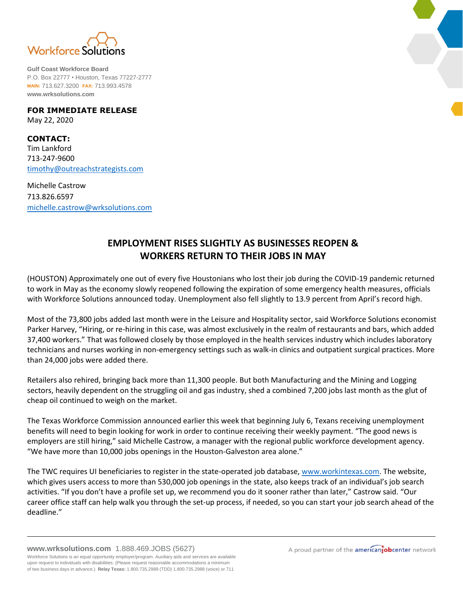

**Gulf Coast Workforce Board** P.O. Box 22777 • Houston, Texas 77227-2777 **MAIN:** 713.627.3200 **FAX:** 713.993.4578 **www.wrksolutions.com**

**FOR IMMEDIATE RELEASE** May 22, 2020

**CONTACT:** Tim Lankford 713-247-9600 [timothy@outreachstrategists.com](mailto:timothy@outreachstrategists.com)

Michelle Castrow 713.826.6597 [michelle.castrow@wrksolutions.com](mailto:michelle.castrow@wrksolutions.com)

## **EMPLOYMENT RISES SLIGHTLY AS BUSINESSES REOPEN & WORKERS RETURN TO THEIR JOBS IN MAY**

(HOUSTON) Approximately one out of every five Houstonians who lost their job during the COVID-19 pandemic returned to work in May as the economy slowly reopened following the expiration of some emergency health measures, officials with Workforce Solutions announced today. Unemployment also fell slightly to 13.9 percent from April's record high.

Most of the 73,800 jobs added last month were in the Leisure and Hospitality sector, said Workforce Solutions economist Parker Harvey, "Hiring, or re-hiring in this case, was almost exclusively in the realm of restaurants and bars, which added 37,400 workers." That was followed closely by those employed in the health services industry which includes laboratory technicians and nurses working in non-emergency settings such as walk-in clinics and outpatient surgical practices. More than 24,000 jobs were added there.

Retailers also rehired, bringing back more than 11,300 people. But both Manufacturing and the Mining and Logging sectors, heavily dependent on the struggling oil and gas industry, shed a combined 7,200 jobs last month as the glut of cheap oil continued to weigh on the market.

The Texas Workforce Commission announced earlier this week that beginning July 6, Texans receiving unemployment benefits will need to begin looking for work in order to continue receiving their weekly payment. "The good news is employers are still hiring," said Michelle Castrow, a manager with the regional public workforce development agency. "We have more than 10,000 jobs openings in the Houston-Galveston area alone."

The TWC requires UI beneficiaries to register in the state-operated job database, [www.workintexas.com.](http://www.workintexas.com/) The website, which gives users access to more than 530,000 job openings in the state, also keeps track of an individual's job search activities. "If you don't have a profile set up, we recommend you do it sooner rather than later," Castrow said. "Our career office staff can help walk you through the set-up process, if needed, so you can start your job search ahead of the deadline."